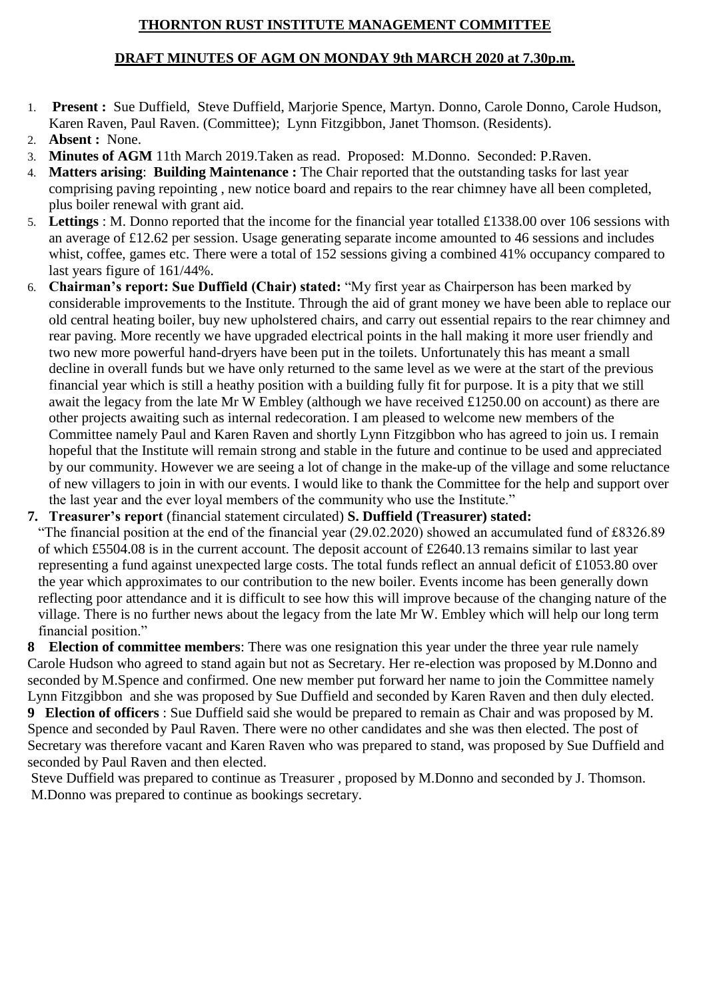## **THORNTON RUST INSTITUTE MANAGEMENT COMMITTEE**

## **DRAFT MINUTES OF AGM ON MONDAY 9th MARCH 2020 at 7.30p.m.**

- 1. **Present :** Sue Duffield, Steve Duffield, Marjorie Spence, Martyn. Donno, Carole Donno, Carole Hudson, Karen Raven, Paul Raven. (Committee); Lynn Fitzgibbon, Janet Thomson. (Residents).
- 2. **Absent :** None.
- 3. **Minutes of AGM** 11th March 2019.Taken as read. Proposed: M.Donno. Seconded: P.Raven.
- 4. **Matters arising**: **Building Maintenance :** The Chair reported that the outstanding tasks for last year comprising paving repointing , new notice board and repairs to the rear chimney have all been completed, plus boiler renewal with grant aid.
- 5. **Lettings** : M. Donno reported that the income for the financial year totalled £1338.00 over 106 sessions with an average of £12.62 per session. Usage generating separate income amounted to 46 sessions and includes whist, coffee, games etc. There were a total of 152 sessions giving a combined 41% occupancy compared to last years figure of 161/44%.
- 6. **Chairman's report: Sue Duffield (Chair) stated:** "My first year as Chairperson has been marked by considerable improvements to the Institute. Through the aid of grant money we have been able to replace our old central heating boiler, buy new upholstered chairs, and carry out essential repairs to the rear chimney and rear paving. More recently we have upgraded electrical points in the hall making it more user friendly and two new more powerful hand-dryers have been put in the toilets. Unfortunately this has meant a small decline in overall funds but we have only returned to the same level as we were at the start of the previous financial year which is still a heathy position with a building fully fit for purpose. It is a pity that we still await the legacy from the late Mr W Embley (although we have received £1250.00 on account) as there are other projects awaiting such as internal redecoration. I am pleased to welcome new members of the Committee namely Paul and Karen Raven and shortly Lynn Fitzgibbon who has agreed to join us. I remain hopeful that the Institute will remain strong and stable in the future and continue to be used and appreciated by our community. However we are seeing a lot of change in the make-up of the village and some reluctance of new villagers to join in with our events. I would like to thank the Committee for the help and support over the last year and the ever loyal members of the community who use the Institute."

**7. Treasurer's report** (financial statement circulated) **S. Duffield (Treasurer) stated:** 

"The financial position at the end of the financial year (29.02.2020) showed an accumulated fund of £8326.89 of which £5504.08 is in the current account. The deposit account of £2640.13 remains similar to last year representing a fund against unexpected large costs. The total funds reflect an annual deficit of £1053.80 over the year which approximates to our contribution to the new boiler. Events income has been generally down reflecting poor attendance and it is difficult to see how this will improve because of the changing nature of the village. There is no further news about the legacy from the late Mr W. Embley which will help our long term financial position."

**8 Election of committee members**: There was one resignation this year under the three year rule namely Carole Hudson who agreed to stand again but not as Secretary. Her re-election was proposed by M.Donno and seconded by M.Spence and confirmed. One new member put forward her name to join the Committee namely Lynn Fitzgibbon and she was proposed by Sue Duffield and seconded by Karen Raven and then duly elected.

**9 Election of officers** : Sue Duffield said she would be prepared to remain as Chair and was proposed by M. Spence and seconded by Paul Raven. There were no other candidates and she was then elected. The post of Secretary was therefore vacant and Karen Raven who was prepared to stand, was proposed by Sue Duffield and seconded by Paul Raven and then elected.

Steve Duffield was prepared to continue as Treasurer , proposed by M.Donno and seconded by J. Thomson. M.Donno was prepared to continue as bookings secretary.